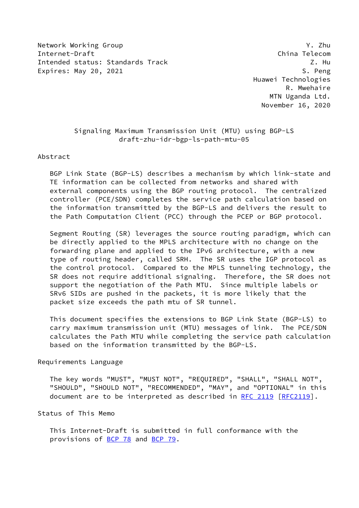Network Working Group Y. Zhu Internet-Draft China Telecom Intended status: Standards Track Z. Hu Expires: May 20, 2021 S. Peng

 Huawei Technologies R. Mwehaire MTN Uganda Ltd. November 16, 2020

## Signaling Maximum Transmission Unit (MTU) using BGP-LS draft-zhu-idr-bgp-ls-path-mtu-05

Abstract

 BGP Link State (BGP-LS) describes a mechanism by which link-state and TE information can be collected from networks and shared with external components using the BGP routing protocol. The centralized controller (PCE/SDN) completes the service path calculation based on the information transmitted by the BGP-LS and delivers the result to the Path Computation Client (PCC) through the PCEP or BGP protocol.

 Segment Routing (SR) leverages the source routing paradigm, which can be directly applied to the MPLS architecture with no change on the forwarding plane and applied to the IPv6 architecture, with a new type of routing header, called SRH. The SR uses the IGP protocol as the control protocol. Compared to the MPLS tunneling technology, the SR does not require additional signaling. Therefore, the SR does not support the negotiation of the Path MTU. Since multiple labels or SRv6 SIDs are pushed in the packets, it is more likely that the packet size exceeds the path mtu of SR tunnel.

 This document specifies the extensions to BGP Link State (BGP-LS) to carry maximum transmission unit (MTU) messages of link. The PCE/SDN calculates the Path MTU while completing the service path calculation based on the information transmitted by the BGP-LS.

## Requirements Language

 The key words "MUST", "MUST NOT", "REQUIRED", "SHALL", "SHALL NOT", "SHOULD", "SHOULD NOT", "RECOMMENDED", "MAY", and "OPTIONAL" in this document are to be interpreted as described in [RFC 2119 \[RFC2119](https://datatracker.ietf.org/doc/pdf/rfc2119)].

Status of This Memo

 This Internet-Draft is submitted in full conformance with the provisions of [BCP 78](https://datatracker.ietf.org/doc/pdf/bcp78) and [BCP 79](https://datatracker.ietf.org/doc/pdf/bcp79).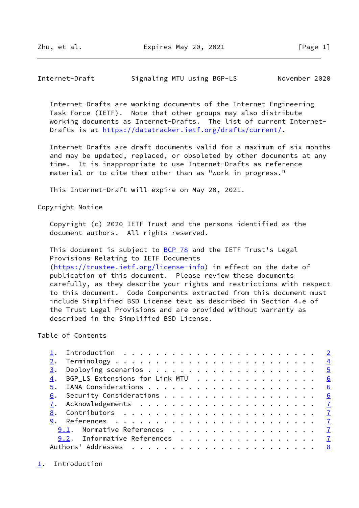<span id="page-1-1"></span>Internet-Draft Signaling MTU using BGP-LS November 2020

 Internet-Drafts are working documents of the Internet Engineering Task Force (IETF). Note that other groups may also distribute working documents as Internet-Drafts. The list of current Internet- Drafts is at<https://datatracker.ietf.org/drafts/current/>.

 Internet-Drafts are draft documents valid for a maximum of six months and may be updated, replaced, or obsoleted by other documents at any time. It is inappropriate to use Internet-Drafts as reference material or to cite them other than as "work in progress."

This Internet-Draft will expire on May 20, 2021.

Copyright Notice

 Copyright (c) 2020 IETF Trust and the persons identified as the document authors. All rights reserved.

This document is subject to **[BCP 78](https://datatracker.ietf.org/doc/pdf/bcp78)** and the IETF Trust's Legal Provisions Relating to IETF Documents [\(https://trustee.ietf.org/license-info](https://trustee.ietf.org/license-info)) in effect on the date of publication of this document. Please review these documents carefully, as they describe your rights and restrictions with respect to this document. Code Components extracted from this document must include Simplified BSD License text as described in Section 4.e of the Trust Legal Provisions and are provided without warranty as described in the Simplified BSD License.

Table of Contents

| 3. |                                                                                                                                          |  |
|----|------------------------------------------------------------------------------------------------------------------------------------------|--|
| 4. | BGP_LS Extensions for Link MTU $\cdot \cdot \cdot \cdot \cdot \cdot \cdot \cdot \cdot \cdot \cdot \cdot \cdot \cdot \cdot \cdot \cdot 6$ |  |
| 5. |                                                                                                                                          |  |
| 6. |                                                                                                                                          |  |
|    |                                                                                                                                          |  |
|    |                                                                                                                                          |  |
|    |                                                                                                                                          |  |
|    | 9.1. Normative References 7                                                                                                              |  |
|    | 9.2. Informative References 7                                                                                                            |  |
|    |                                                                                                                                          |  |

<span id="page-1-0"></span>[1](#page-1-0). Introduction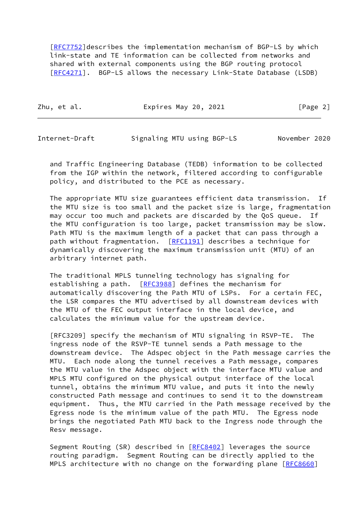[\[RFC7752](https://datatracker.ietf.org/doc/pdf/rfc7752)]describes the implementation mechanism of BGP-LS by which link-state and TE information can be collected from networks and shared with external components using the BGP routing protocol [\[RFC4271](https://datatracker.ietf.org/doc/pdf/rfc4271)]. BGP-LS allows the necessary Link-State Database (LSDB)

|  | Zhu, et al. | Expires May 20, 2021 | [Page 2] |
|--|-------------|----------------------|----------|
|--|-------------|----------------------|----------|

Internet-Draft Signaling MTU using BGP-LS November 2020

 and Traffic Engineering Database (TEDB) information to be collected from the IGP within the network, filtered according to configurable policy, and distributed to the PCE as necessary.

 The appropriate MTU size guarantees efficient data transmission. If the MTU size is too small and the packet size is large, fragmentation may occur too much and packets are discarded by the QoS queue. If the MTU configuration is too large, packet transmission may be slow. Path MTU is the maximum length of a packet that can pass through a path without fragmentation. [\[RFC1191](https://datatracker.ietf.org/doc/pdf/rfc1191)] describes a technique for dynamically discovering the maximum transmission unit (MTU) of an arbitrary internet path.

 The traditional MPLS tunneling technology has signaling for establishing a path. [[RFC3988](https://datatracker.ietf.org/doc/pdf/rfc3988)] defines the mechanism for automatically discovering the Path MTU of LSPs. For a certain FEC, the LSR compares the MTU advertised by all downstream devices with the MTU of the FEC output interface in the local device, and calculates the minimum value for the upstream device.

 [RFC3209] specify the mechanism of MTU signaling in RSVP-TE. The ingress node of the RSVP-TE tunnel sends a Path message to the downstream device. The Adspec object in the Path message carries the MTU. Each node along the tunnel receives a Path message, compares the MTU value in the Adspec object with the interface MTU value and MPLS MTU configured on the physical output interface of the local tunnel, obtains the minimum MTU value, and puts it into the newly constructed Path message and continues to send it to the downstream equipment. Thus, the MTU carried in the Path message received by the Egress node is the minimum value of the path MTU. The Egress node brings the negotiated Path MTU back to the Ingress node through the Resv message.

Segment Routing (SR) described in [[RFC8402](https://datatracker.ietf.org/doc/pdf/rfc8402)] leverages the source routing paradigm. Segment Routing can be directly applied to the MPLS architecture with no change on the forwarding plane [\[RFC8660](https://datatracker.ietf.org/doc/pdf/rfc8660)]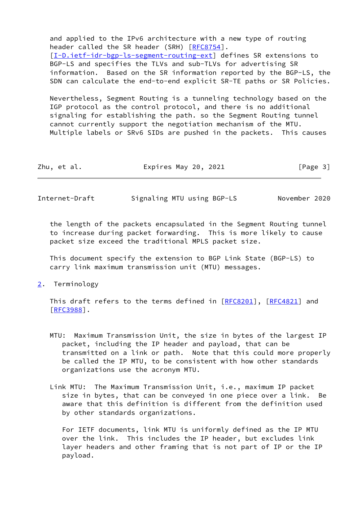and applied to the IPv6 architecture with a new type of routing header called the SR header (SRH) [[RFC8754](https://datatracker.ietf.org/doc/pdf/rfc8754)]. [\[I-D.ietf-idr-bgp-ls-segment-routing-ext](#page-7-4)] defines SR extensions to BGP-LS and specifies the TLVs and sub-TLVs for advertising SR information. Based on the SR information reported by the BGP-LS, the SDN can calculate the end-to-end explicit SR-TE paths or SR Policies.

 Nevertheless, Segment Routing is a tunneling technology based on the IGP protocol as the control protocol, and there is no additional signaling for establishing the path. so the Segment Routing tunnel cannot currently support the negotiation mechanism of the MTU. Multiple labels or SRv6 SIDs are pushed in the packets. This causes

| Zhu, et al.<br>[Page 3]<br>Expires May 20, 2021 |  |
|-------------------------------------------------|--|
|-------------------------------------------------|--|

<span id="page-3-1"></span>Internet-Draft Signaling MTU using BGP-LS November 2020

 the length of the packets encapsulated in the Segment Routing tunnel to increase during packet forwarding. This is more likely to cause packet size exceed the traditional MPLS packet size.

 This document specify the extension to BGP Link State (BGP-LS) to carry link maximum transmission unit (MTU) messages.

<span id="page-3-0"></span>[2](#page-3-0). Terminology

This draft refers to the terms defined in [[RFC8201](https://datatracker.ietf.org/doc/pdf/rfc8201)], [\[RFC4821](https://datatracker.ietf.org/doc/pdf/rfc4821)] and [\[RFC3988](https://datatracker.ietf.org/doc/pdf/rfc3988)].

- MTU: Maximum Transmission Unit, the size in bytes of the largest IP packet, including the IP header and payload, that can be transmitted on a link or path. Note that this could more properly be called the IP MTU, to be consistent with how other standards organizations use the acronym MTU.
- Link MTU: The Maximum Transmission Unit, i.e., maximum IP packet size in bytes, that can be conveyed in one piece over a link. Be aware that this definition is different from the definition used by other standards organizations.

 For IETF documents, link MTU is uniformly defined as the IP MTU over the link. This includes the IP header, but excludes link layer headers and other framing that is not part of IP or the IP payload.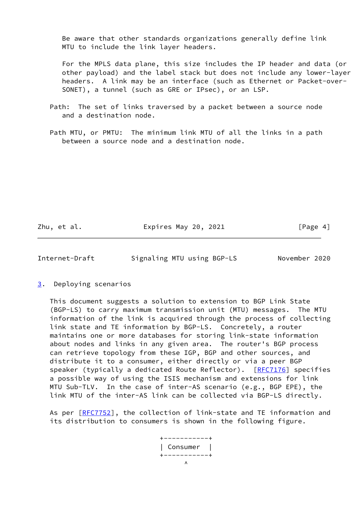Be aware that other standards organizations generally define link MTU to include the link layer headers.

 For the MPLS data plane, this size includes the IP header and data (or other payload) and the label stack but does not include any lower-layer headers. A link may be an interface (such as Ethernet or Packet-over- SONET), a tunnel (such as GRE or IPsec), or an LSP.

 Path: The set of links traversed by a packet between a source node and a destination node.

 Path MTU, or PMTU: The minimum link MTU of all the links in a path between a source node and a destination node.

Zhu, et al. **Expires May 20, 2021** [Page 4]

<span id="page-4-1"></span>Internet-Draft Signaling MTU using BGP-LS November 2020

<span id="page-4-0"></span>[3](#page-4-0). Deploying scenarios

 This document suggests a solution to extension to BGP Link State (BGP-LS) to carry maximum transmission unit (MTU) messages. The MTU information of the link is acquired through the process of collecting link state and TE information by BGP-LS. Concretely, a router maintains one or more databases for storing link-state information about nodes and links in any given area. The router's BGP process can retrieve topology from these IGP, BGP and other sources, and distribute it to a consumer, either directly or via a peer BGP speaker (typically a dedicated Route Reflector). [[RFC7176](https://datatracker.ietf.org/doc/pdf/rfc7176)] specifies a possible way of using the ISIS mechanism and extensions for link MTU Sub-TLV. In the case of inter-AS scenario (e.g., BGP EPE), the link MTU of the inter-AS link can be collected via BGP-LS directly.

As per [\[RFC7752](https://datatracker.ietf.org/doc/pdf/rfc7752)], the collection of link-state and TE information and its distribution to consumers is shown in the following figure.

 +-----------+ | Consumer | +-----------+  $\mathcal{N}$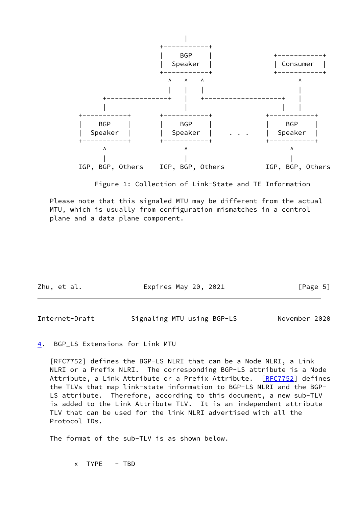

Figure 1: Collection of Link-State and TE Information

 Please note that this signaled MTU may be different from the actual MTU, which is usually from configuration mismatches in a control plane and a data plane component.

| Zhu, et al. | Expires May 20, 2021 | [Page 5] |
|-------------|----------------------|----------|
|             |                      |          |

<span id="page-5-1"></span>Internet-Draft Signaling MTU using BGP-LS November 2020

## <span id="page-5-0"></span>[4](#page-5-0). BGP\_LS Extensions for Link MTU

 [RFC7752] defines the BGP-LS NLRI that can be a Node NLRI, a Link NLRI or a Prefix NLRI. The corresponding BGP-LS attribute is a Node Attribute, a Link Attribute or a Prefix Attribute. [\[RFC7752](https://datatracker.ietf.org/doc/pdf/rfc7752)] defines the TLVs that map link-state information to BGP-LS NLRI and the BGP- LS attribute. Therefore, according to this document, a new sub-TLV is added to the Link Attribute TLV. It is an independent attribute TLV that can be used for the link NLRI advertised with all the Protocol IDs.

The format of the sub-TLV is as shown below.

x TYPE - TBD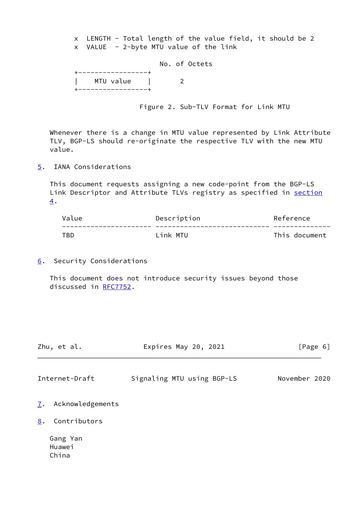x LENGTH - Total length of the value field, it should be 2 x VALUE - 2-byte MTU value of the link

 No. of Octets +-----------------+ | MTU value | 2 .<br>+------------------+

Figure 2. Sub-TLV Format for Link MTU

 Whenever there is a change in MTU value represented by Link Attribute TLV, BGP-LS should re-originate the respective TLV with the new MTU value.

<span id="page-6-0"></span>[5](#page-6-0). IANA Considerations

 This document requests assigning a new code-point from the BGP-LS Link Descriptor and Attribute TLVs registry as specified in [section](#page-5-0) [4](#page-5-0).

| Value | Description | Reference     |
|-------|-------------|---------------|
|       |             |               |
| TBD   | link MTU    | This document |

<span id="page-6-1"></span>[6](#page-6-1). Security Considerations

 This document does not introduce security issues beyond those discussed in [RFC7752](https://datatracker.ietf.org/doc/pdf/rfc7752).

<span id="page-6-3"></span>

| Zhu, et al.         | Expires May 20, 2021       | [Page 6]      |  |
|---------------------|----------------------------|---------------|--|
| Internet-Draft      | Signaling MTU using BGP-LS | November 2020 |  |
| 7. Acknowledgements |                            |               |  |
| 8. Contributors     |                            |               |  |
| Gang Yan            |                            |               |  |

<span id="page-6-4"></span><span id="page-6-2"></span> Huawei China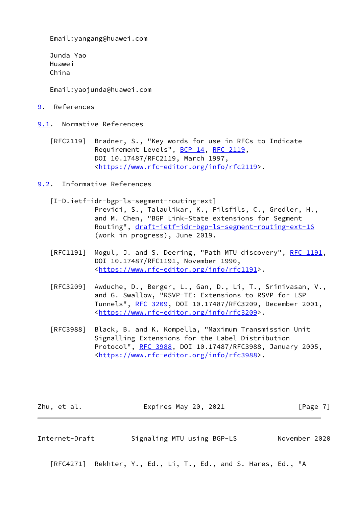Email:yangang@huawei.com

 Junda Yao Huawei China

Email:yaojunda@huawei.com

<span id="page-7-0"></span>[9](#page-7-0). References

<span id="page-7-1"></span>[9.1](#page-7-1). Normative References

 [RFC2119] Bradner, S., "Key words for use in RFCs to Indicate Requirement Levels", [BCP 14](https://datatracker.ietf.org/doc/pdf/bcp14), [RFC 2119](https://datatracker.ietf.org/doc/pdf/rfc2119), DOI 10.17487/RFC2119, March 1997, <[https://www.rfc-editor.org/info/rfc2119>](https://www.rfc-editor.org/info/rfc2119).

<span id="page-7-2"></span>[9.2](#page-7-2). Informative References

<span id="page-7-4"></span>[I-D.ietf-idr-bgp-ls-segment-routing-ext]

 Previdi, S., Talaulikar, K., Filsfils, C., Gredler, H., and M. Chen, "BGP Link-State extensions for Segment Routing", [draft-ietf-idr-bgp-ls-segment-routing-ext-16](https://datatracker.ietf.org/doc/pdf/draft-ietf-idr-bgp-ls-segment-routing-ext-16) (work in progress), June 2019.

- [RFC1191] Mogul, J. and S. Deering, "Path MTU discovery", [RFC 1191,](https://datatracker.ietf.org/doc/pdf/rfc1191) DOI 10.17487/RFC1191, November 1990, <[https://www.rfc-editor.org/info/rfc1191>](https://www.rfc-editor.org/info/rfc1191).
- [RFC3209] Awduche, D., Berger, L., Gan, D., Li, T., Srinivasan, V., and G. Swallow, "RSVP-TE: Extensions to RSVP for LSP Tunnels", [RFC 3209](https://datatracker.ietf.org/doc/pdf/rfc3209), DOI 10.17487/RFC3209, December 2001, <[https://www.rfc-editor.org/info/rfc3209>](https://www.rfc-editor.org/info/rfc3209).
- [RFC3988] Black, B. and K. Kompella, "Maximum Transmission Unit Signalling Extensions for the Label Distribution Protocol", [RFC 3988](https://datatracker.ietf.org/doc/pdf/rfc3988), DOI 10.17487/RFC3988, January 2005, <[https://www.rfc-editor.org/info/rfc3988>](https://www.rfc-editor.org/info/rfc3988).

| Zhu, et al. | Expires May 20, 2021 | [Page 7] |
|-------------|----------------------|----------|
|             |                      |          |

<span id="page-7-3"></span>Internet-Draft Signaling MTU using BGP-LS November 2020

[RFC4271] Rekhter, Y., Ed., Li, T., Ed., and S. Hares, Ed., "A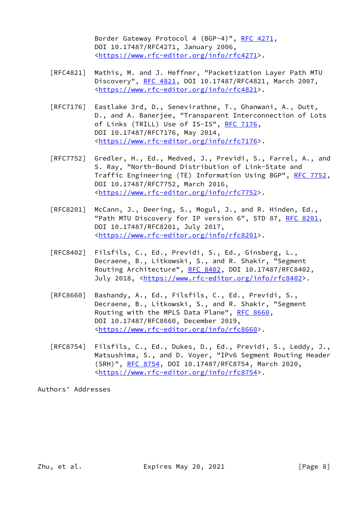Border Gateway Protocol 4 (BGP-4)", [RFC 4271,](https://datatracker.ietf.org/doc/pdf/rfc4271) DOI 10.17487/RFC4271, January 2006, <[https://www.rfc-editor.org/info/rfc4271>](https://www.rfc-editor.org/info/rfc4271).

- [RFC4821] Mathis, M. and J. Heffner, "Packetization Layer Path MTU Discovery", [RFC 4821,](https://datatracker.ietf.org/doc/pdf/rfc4821) DOI 10.17487/RFC4821, March 2007, <[https://www.rfc-editor.org/info/rfc4821>](https://www.rfc-editor.org/info/rfc4821).
- [RFC7176] Eastlake 3rd, D., Senevirathne, T., Ghanwani, A., Dutt, D., and A. Banerjee, "Transparent Interconnection of Lots of Links (TRILL) Use of IS-IS", [RFC 7176,](https://datatracker.ietf.org/doc/pdf/rfc7176) DOI 10.17487/RFC7176, May 2014, <[https://www.rfc-editor.org/info/rfc7176>](https://www.rfc-editor.org/info/rfc7176).
- [RFC7752] Gredler, H., Ed., Medved, J., Previdi, S., Farrel, A., and S. Ray, "North-Bound Distribution of Link-State and Traffic Engineering (TE) Information Using BGP", [RFC 7752,](https://datatracker.ietf.org/doc/pdf/rfc7752) DOI 10.17487/RFC7752, March 2016, <[https://www.rfc-editor.org/info/rfc7752>](https://www.rfc-editor.org/info/rfc7752).
- [RFC8201] McCann, J., Deering, S., Mogul, J., and R. Hinden, Ed., "Path MTU Discovery for IP version 6", STD 87, [RFC 8201](https://datatracker.ietf.org/doc/pdf/rfc8201), DOI 10.17487/RFC8201, July 2017, <[https://www.rfc-editor.org/info/rfc8201>](https://www.rfc-editor.org/info/rfc8201).
- [RFC8402] Filsfils, C., Ed., Previdi, S., Ed., Ginsberg, L., Decraene, B., Litkowski, S., and R. Shakir, "Segment Routing Architecture", [RFC 8402](https://datatracker.ietf.org/doc/pdf/rfc8402), DOI 10.17487/RFC8402, July 2018, <<https://www.rfc-editor.org/info/rfc8402>>.
- [RFC8660] Bashandy, A., Ed., Filsfils, C., Ed., Previdi, S., Decraene, B., Litkowski, S., and R. Shakir, "Segment Routing with the MPLS Data Plane", [RFC 8660](https://datatracker.ietf.org/doc/pdf/rfc8660), DOI 10.17487/RFC8660, December 2019, <[https://www.rfc-editor.org/info/rfc8660>](https://www.rfc-editor.org/info/rfc8660).
- [RFC8754] Filsfils, C., Ed., Dukes, D., Ed., Previdi, S., Leddy, J., Matsushima, S., and D. Voyer, "IPv6 Segment Routing Header (SRH)", [RFC 8754,](https://datatracker.ietf.org/doc/pdf/rfc8754) DOI 10.17487/RFC8754, March 2020, <[https://www.rfc-editor.org/info/rfc8754>](https://www.rfc-editor.org/info/rfc8754).

Authors' Addresses